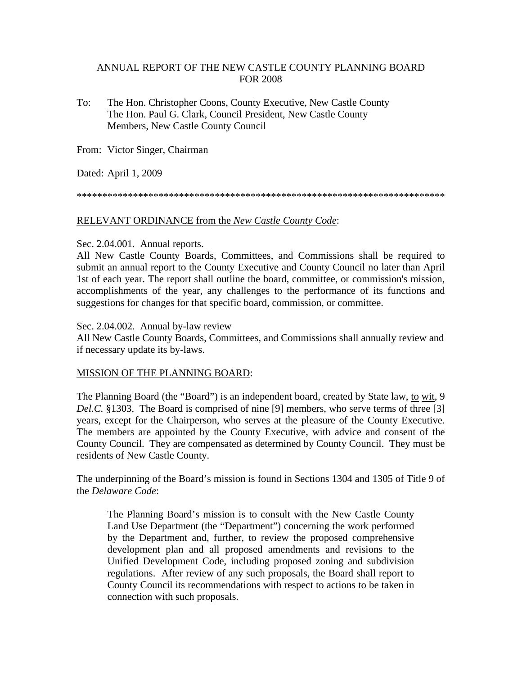# ANNUAL REPORT OF THE NEW CASTLE COUNTY PLANNING BOARD FOR 2008

To: The Hon. Christopher Coons, County Executive, New Castle County The Hon. Paul G. Clark, Council President, New Castle County Members, New Castle County Council

From: Victor Singer, Chairman

Dated: April 1, 2009

\*\*\*\*\*\*\*\*\*\*\*\*\*\*\*\*\*\*\*\*\*\*\*\*\*\*\*\*\*\*\*\*\*\*\*\*\*\*\*\*\*\*\*\*\*\*\*\*\*\*\*\*\*\*\*\*\*\*\*\*\*\*\*\*\*\*\*\*\*\*\*\*

# RELEVANT ORDINANCE from the *New Castle County Code*:

#### Sec. 2.04.001. Annual reports.

All New Castle County Boards, Committees, and Commissions shall be required to submit an annual report to the County Executive and County Council no later than April 1st of each year. The report shall outline the board, committee, or commission's mission, accomplishments of the year, any challenges to the performance of its functions and suggestions for changes for that specific board, commission, or committee.

#### Sec. 2.04.002. Annual by-law review

All New Castle County Boards, Committees, and Commissions shall annually review and if necessary update its by-laws.

# MISSION OF THE PLANNING BOARD:

The Planning Board (the "Board") is an independent board, created by State law, to wit, 9 *Del.C.* §1303. The Board is comprised of nine [9] members, who serve terms of three [3] years, except for the Chairperson, who serves at the pleasure of the County Executive. The members are appointed by the County Executive, with advice and consent of the County Council. They are compensated as determined by County Council. They must be residents of New Castle County.

The underpinning of the Board's mission is found in Sections 1304 and 1305 of Title 9 of the *Delaware Code*:

The Planning Board's mission is to consult with the New Castle County Land Use Department (the "Department") concerning the work performed by the Department and, further, to review the proposed comprehensive development plan and all proposed amendments and revisions to the Unified Development Code, including proposed zoning and subdivision regulations. After review of any such proposals, the Board shall report to County Council its recommendations with respect to actions to be taken in connection with such proposals.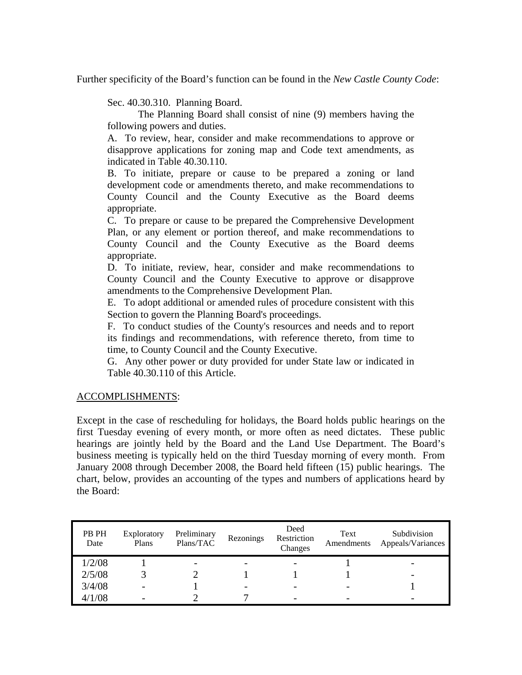Further specificity of the Board's function can be found in the *New Castle County Code*:

Sec. 40.30.310. Planning Board.

The Planning Board shall consist of nine (9) members having the following powers and duties.

A. To review, hear, consider and make recommendations to approve or disapprove applications for zoning map and Code text amendments, as indicated in Table 40.30.110.

B. To initiate, prepare or cause to be prepared a zoning or land development code or amendments thereto, and make recommendations to County Council and the County Executive as the Board deems appropriate.

C. To prepare or cause to be prepared the Comprehensive Development Plan, or any element or portion thereof, and make recommendations to County Council and the County Executive as the Board deems appropriate.

D. To initiate, review, hear, consider and make recommendations to County Council and the County Executive to approve or disapprove amendments to the Comprehensive Development Plan.

E. To adopt additional or amended rules of procedure consistent with this Section to govern the Planning Board's proceedings.

F. To conduct studies of the County's resources and needs and to report its findings and recommendations, with reference thereto, from time to time, to County Council and the County Executive.

G. Any other power or duty provided for under State law or indicated in Table 40.30.110 of this Article.

# ACCOMPLISHMENTS:

Except in the case of rescheduling for holidays, the Board holds public hearings on the first Tuesday evening of every month, or more often as need dictates. These public hearings are jointly held by the Board and the Land Use Department. The Board's business meeting is typically held on the third Tuesday morning of every month. From January 2008 through December 2008, the Board held fifteen (15) public hearings. The chart, below, provides an accounting of the types and numbers of applications heard by the Board:

| PB PH<br>Date | Exploratory<br>Plans | Preliminary<br>Plans/TAC | Rezonings                | Deed<br>Restriction<br>Changes | Text<br>Amendments | Subdivision<br>Appeals/Variances |
|---------------|----------------------|--------------------------|--------------------------|--------------------------------|--------------------|----------------------------------|
| 1/2/08        |                      | $\overline{\phantom{0}}$ |                          |                                |                    |                                  |
| 2/5/08        |                      |                          |                          |                                |                    |                                  |
| 3/4/08        |                      |                          | $\overline{\phantom{0}}$ |                                |                    |                                  |
| 4/1/08        |                      |                          |                          |                                |                    |                                  |